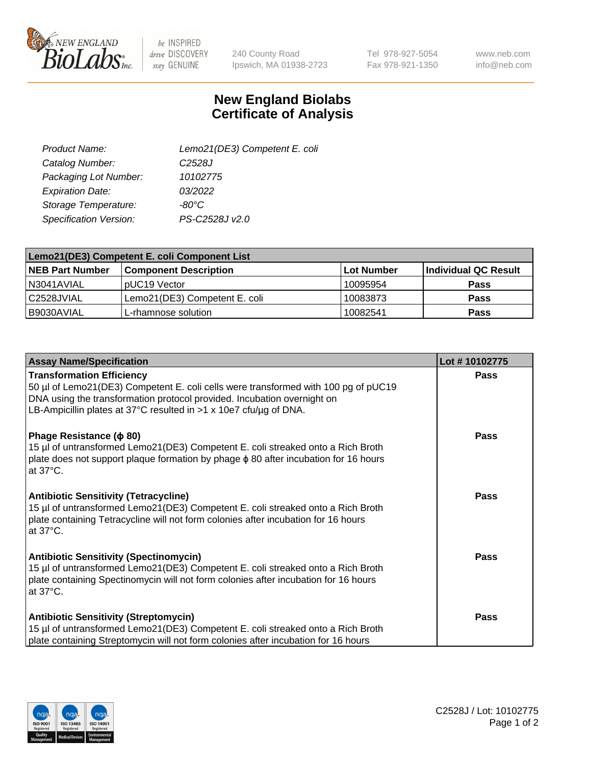

 $be$  INSPIRED drive DISCOVERY stay GENUINE

240 County Road Ipswich, MA 01938-2723 Tel 978-927-5054 Fax 978-921-1350

www.neb.com info@neb.com

## **New England Biolabs Certificate of Analysis**

| Lemo21(DE3) Competent E. coli |
|-------------------------------|
| C <sub>2528</sub> J           |
| 10102775                      |
| 03/2022                       |
| -80°C                         |
| PS-C2528J v2.0                |
|                               |

| Lemo21(DE3) Competent E. coli Component List |                               |                   |                      |  |
|----------------------------------------------|-------------------------------|-------------------|----------------------|--|
| <b>NEB Part Number</b>                       | <b>Component Description</b>  | <b>Lot Number</b> | Individual QC Result |  |
| I N3041AVIAL                                 | IpUC19 Vector                 | 10095954          | Pass                 |  |
| C2528JVIAL                                   | Lemo21(DE3) Competent E. coli | 10083873          | <b>Pass</b>          |  |
| B9030AVIAL                                   | L-rhamnose solution           | 10082541          | <b>Pass</b>          |  |

| <b>Assay Name/Specification</b>                                                                                                                                                                                                                                          | Lot #10102775 |
|--------------------------------------------------------------------------------------------------------------------------------------------------------------------------------------------------------------------------------------------------------------------------|---------------|
| <b>Transformation Efficiency</b><br>50 µl of Lemo21(DE3) Competent E. coli cells were transformed with 100 pg of pUC19<br>DNA using the transformation protocol provided. Incubation overnight on<br>LB-Ampicillin plates at 37°C resulted in $>1$ x 10e7 cfu/ug of DNA. | Pass          |
| Phage Resistance ( $\phi$ 80)<br>15 µl of untransformed Lemo21(DE3) Competent E. coli streaked onto a Rich Broth<br>plate does not support plaque formation by phage $\phi$ 80 after incubation for 16 hours<br>at $37^{\circ}$ C.                                       | Pass          |
| <b>Antibiotic Sensitivity (Tetracycline)</b><br>15 µl of untransformed Lemo21(DE3) Competent E. coli streaked onto a Rich Broth<br>plate containing Tetracycline will not form colonies after incubation for 16 hours<br>at $37^{\circ}$ C.                              | <b>Pass</b>   |
| <b>Antibiotic Sensitivity (Spectinomycin)</b><br>15 µl of untransformed Lemo21(DE3) Competent E. coli streaked onto a Rich Broth<br>plate containing Spectinomycin will not form colonies after incubation for 16 hours<br>at 37°C.                                      | <b>Pass</b>   |
| <b>Antibiotic Sensitivity (Streptomycin)</b><br>15 µl of untransformed Lemo21(DE3) Competent E. coli streaked onto a Rich Broth<br>plate containing Streptomycin will not form colonies after incubation for 16 hours                                                    | Pass          |